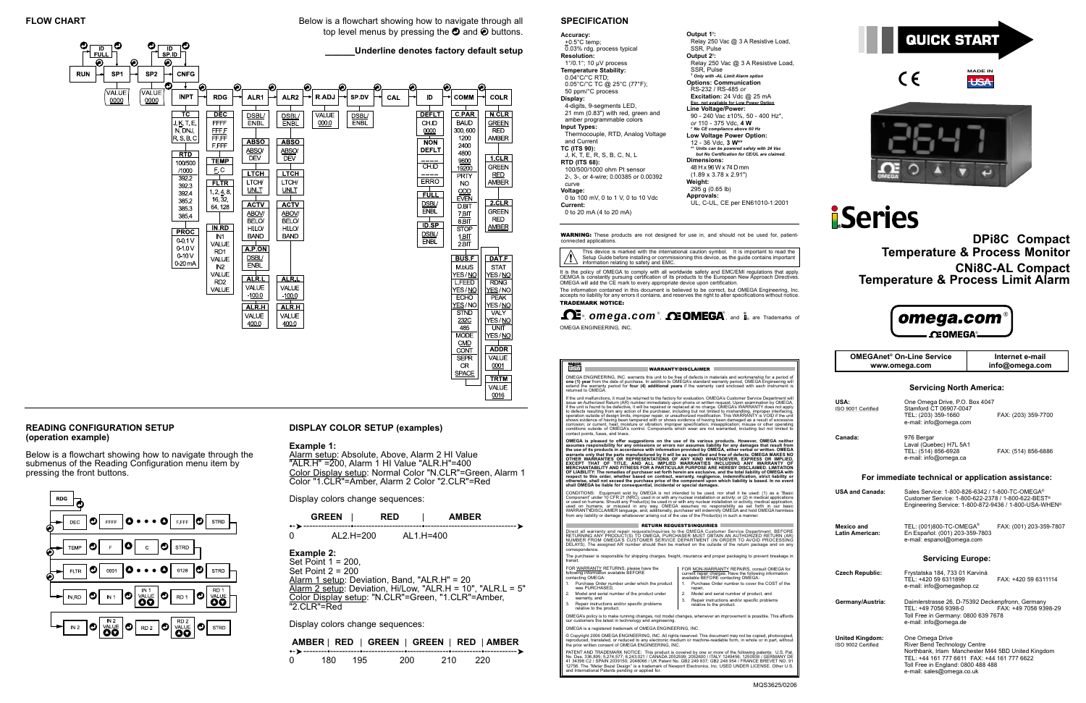



#### **DISPLAY COLOR SETUP (examples)**

#### **Example 1:**

Alarm setup: Absolute, Above, Alarm 2 HI Value "ALR.H" =200, Alarm 1 HI Value "ALR.H"=400 Color Display setup: Normal Color "N.CLR"=Green, Alarm 1 Color "1.CLR"=Amber, Alarm 2 Color "2.CLR"=Red

**SPACE** 

 $\overrightarrow{TRTM}$ **VALUE** 0016

Display colors change sequences:

|       |   |  |   | <b>AMBER</b> |  |  |
|-------|---|--|---|--------------|--|--|
| 7 – 7 |   |  |   |              |  |  |
| -     | . |  | . |              |  |  |

➤

OMEGA ENGINEERING, INC. warrants this unit to be free of defects in materials and workmanship for a period of<br>one (1) year from the date of purchase. In addition to OMEGA's standard warranty period, OMEGA Engineering will<br>

WARRANTY/DISCLAIMER

| 0 | AL2.H=200 | AL1.H=400 |
|---|-----------|-----------|
|   |           |           |

# **Example 2:**

Set Point 1 = 200, Set Point 2 = 200 Alarm 1 setup: Deviation, Band, "ALR.H" = 20 Alarm 2 setup: Deviation, Hi/Low, "ALR.H = 10", "ALR.L = 5" Color Display setup: "N.CLR"=Green, "1.CLR"=Amber, "2.CLR"=Red

Below is a flowchart showing how to navigate through all top level menus by pressing the  $\bm{\mathcal{O}}$  and  $\bm{\mathcal{O}}$  buttons.

#### $\overline{\mathsf{P}}$  $\overline{\mathsf{m}}$ **\_\_\_\_\_Underline denotes factory default setup**  $SPID$ | FULL ⋒ ⋒ **RUN** SP<sub>1</sub> SP<sub>2</sub> **CNFG** /VALUE VALUE **INPT RDG** ALR1 ALR<sub>2</sub> R.ADJ SP.DV CAL ID COMM COLR  $0000$ 0000 **DEFLT**  $C$ PAR  $\overline{DEC}$  $\frac{\overline{\text{DSBL}}}{\overline{\text{ENBL}}}$  $\frac{\overline{\text{DSBL}}}{\text{ENBL}}$  $\frac{\overline{\text{DSBL}}}{\overline{\text{ENBL}}}$ **N.CLR**  $TC$ **VALUE** FFFF  $0000$ **BAUD**  $J, K, T, E,$ **CHID** GREEN N, DNJ, FFF<br>FFF 300,600 0000 **RED**  $R, S, B, C$ 1200 **AMBER ABSO** ABSO  $\overline{NON}$ **F.FFF** 2400  $\frac{\text{ABSO}}{\text{DEV}}$ ABSO/<br>DEV **DEFL1** 4800  $\overline{R}$  $1$ .CLR **TEMP** 9600<br>19200 100/500  $CHID$ **GREEN**  $E, C$ /1000 **LTCH**  $\Gamma$ <sub>LTCH</sub> **RED** PRTY  $3922$ ERRO  $\overline{\Gamma}$  fltr $\overline{\Gamma}$ LTCH/ LTCH/ **NO AMBER** 3923  $UNLT$ </u> **UNLT**  $rac{ODD}{EVEN}$  $1, 2, 4, 8,$ <br>16, 32, 392.4  $\Box$ FULL 385.2  $2.CLR$ **ACTV ACTV DSBL/**<br>ENBL 64, 128 **DBIT** 3853 ABOV/<br>BELO/ **GREEN** ABOV/<br>BELO/  $rac{7}{8}$ BIT 3854 RFD.  $\overline{\mathsf{ID}}$  SP **AMBER**  $IN$   $RD$  $HILO/$  $HIO$ **STOP**  $FROC$  $\frac{\text{DSBL}}{\text{ENBL}}$  $\frac{1 \text{ BIT}}{2 \text{ BIT}}$ **BAND BAND**  $IN1$ 0-0.1 V VALUE  $A.P. ON$ 0-1.0V RD1  $0-10V$ **DSBL/**<br>ENBL  $BUSE$ DAT.F VALUE  $0.20mA$  $N<sub>2</sub>$ **M.bUS STAT** YES/NO YES/NO VALUE ALR.L ALR.L RD<sub>2</sub> **LFEED** VALUE VALUE VALUE YES/NO YES / NO  $1000$  $-100.0$ **ECHO** YES / NO YES/NO ALR.H  $ALR.H$ VALY VALUE VALUE 232C<br>485 YES/M 400.0 400.0 UNIT **MODE** YES/NO CMD<br>CONT ADDR<sup>1</sup> **SEPR** VALUE CR  $0001$

Display colors change sequences:

|  | AMBER   RED   GREEN   GREEN   RED   AMBER |  |
|--|-------------------------------------------|--|
|  |                                           |  |

| $-1$ |  |  |  |
|------|--|--|--|
|      |  |  |  |

## **READING CONFIGURATION SETUP(operation example)**

Below is a flowchart showing how to navigate through the submenus of the Reading Configuration menu item by pressing the front buttons.







# **iSeries**

**DPi8C Compact Temperature & Process Monitor CNi8C-AL Compact Temperature & Process Limit Alarm** 

# omega.com ®®

#### **Servicing North America:**

| USA:<br>ISO 9001 Certified                   | One Omega Drive, P.O. Box 4047<br>Stamford CT 06907-0047<br>TEL: (203) 359-1660<br>e-mail: info@omega.com                                                                                                               | FAX: (203) 359-7700     |
|----------------------------------------------|-------------------------------------------------------------------------------------------------------------------------------------------------------------------------------------------------------------------------|-------------------------|
| Canada:                                      | 976 Bergar<br>Laval (Quebec) H7L 5A1<br>TEL: (514) 856-6928<br>e-mail: info@omega.ca                                                                                                                                    | FAX: (514) 856-6886     |
|                                              | For immediate technical or application assistance:                                                                                                                                                                      |                         |
| <b>USA and Canada:</b>                       | Sales Service: 1-800-826-6342 / 1-800-TC-OMEGA <sup>®</sup><br>Customer Service: 1-800-622-2378 / 1-800-622-BEST <sup>®</sup><br>Engineering Service: 1-800-872-9436 / 1-800-USA-WHEN <sup>®</sup>                      |                         |
| Mexico and<br><b>Latin American:</b>         | TEL: (001)800-TC-OMEGA <sup>®</sup><br>En Español: (001) 203-359-7803<br>e-mail: espanol@omega.com                                                                                                                      | FAX: (001) 203-359-7807 |
|                                              | <b>Servicing Europe:</b>                                                                                                                                                                                                |                         |
| <b>Czech Republic:</b>                       | Frystatska 184, 733 01 Karviná<br>TEL: +420 59 6311899<br>e-mail: info@omegashop.cz                                                                                                                                     | FAX: +420 59 6311114    |
| Germany/Austria:                             | Daimlerstrasse 26, D-75392 Deckenpfronn, Germany<br>TEL: +49 7056 9398-0<br>Toll Free in Germany: 0800 639 7678<br>e-mail: info@omega.de                                                                                | FAX: +49 7056 9398-29   |
| <b>United Kingdom:</b><br>ISO 9002 Certified | One Omega Drive<br>River Bend Technology Centre<br>Northbank, Irlam Manchester M44 5BD United Kingdom<br>TEL: +44 161 777 6611 FAX: +44 161 777 6622<br>Toll Free in England: 0800 488 488<br>e-mail: sales@omega.co.uk |                         |

If the unit malfunctions, it must be returned to the factory for evaluation. OMEGA's Customer Service Department will<br>issue an Authorized Return (AR) number immediately upon phone or written request. Upon examination by OM corrosion; or current, heat, moisture or vibration; improper specification; misapplication; misuse or other operating<br>conditions outside of OMEGA's control. Components which wear are not warranted, including but not limite contact points, fuses, and triacs.

OMEGA is pleased to offer suggestions on the use of its various products. However, OMEGA institutements assumes responsibility for any omissions or errors nor assumes liability for any damages that result from<br>the use of i OF LIABILITY: The remedies of purchaser set forth herein are exclusive, and the total liability of OMEGA with<br>respect to this order, whether based on contract, warranty, negligence, indemnification, strict liability or<br>sha

CONDITIONS: Equipment sold by OMEGA is not intended to be used, nor shall it be used: (1) as a "Basic<br>Component" under 10 CFR 21 (NRC), used in or with any nuclear installation or activity; or (2) in medical applications<br>o

#### **RETURN REQUESTS/INQUIRIES**

**OMEGAnet® On-Line Servicewww.omega.com**

**Internet e-mailinfo@omega.com**

#### **SPECIFICATION**

| Accuracy:                                                                                                                                                                                                                                                                                                                                                                                                                                                                                                                                                                                 | Output 1 <sup>t</sup> :                                                                                                                                                                                                                                                                                                                                                                                                                                                                                                                                                                                                                                                             |
|-------------------------------------------------------------------------------------------------------------------------------------------------------------------------------------------------------------------------------------------------------------------------------------------------------------------------------------------------------------------------------------------------------------------------------------------------------------------------------------------------------------------------------------------------------------------------------------------|-------------------------------------------------------------------------------------------------------------------------------------------------------------------------------------------------------------------------------------------------------------------------------------------------------------------------------------------------------------------------------------------------------------------------------------------------------------------------------------------------------------------------------------------------------------------------------------------------------------------------------------------------------------------------------------|
| + $0.5^{\circ}$ C temp;                                                                                                                                                                                                                                                                                                                                                                                                                                                                                                                                                                   | Relay 250 Vac @ 3 A Resistive Load,                                                                                                                                                                                                                                                                                                                                                                                                                                                                                                                                                                                                                                                 |
| 0.03% rdg. process typical                                                                                                                                                                                                                                                                                                                                                                                                                                                                                                                                                                | SSR. Pulse                                                                                                                                                                                                                                                                                                                                                                                                                                                                                                                                                                                                                                                                          |
| <b>Resolution:</b>                                                                                                                                                                                                                                                                                                                                                                                                                                                                                                                                                                        | Output 2 <sup>†</sup> :                                                                                                                                                                                                                                                                                                                                                                                                                                                                                                                                                                                                                                                             |
|                                                                                                                                                                                                                                                                                                                                                                                                                                                                                                                                                                                           |                                                                                                                                                                                                                                                                                                                                                                                                                                                                                                                                                                                                                                                                                     |
| $1^{\circ}/0.1^{\circ}$ ; 10 µV process<br><b>Temperature Stability:</b><br>$0.04^{\circ}$ C/ $^{\circ}$ C RTD;<br>$0.05^{\circ}$ C/°C TC @ 25°C (77°F);<br>50 ppm/°C process<br>Display:<br>4-digits, 9-segments LED,<br>21 mm (0.83") with red, green and<br>amber programmable colors<br>Input Types:<br>Thermocouple, RTD, Analog Voltage<br>and Current<br><b>TC (ITS 90):</b><br>J, K, T, E, R, S, B, C, N, L<br><b>RTD (ITS 68):</b><br>100/500/1000 ohm Pt sensor<br>2-, 3-, or 4-wire; 0.00385 or 0.00392<br>curve<br>Voltage:<br>0 to 100 mV, 0 to 1 V, 0 to 10 Vdc<br>Current: | Relay 250 Vac @ 3 A Resistive Load<br>SSR, Pulse<br><sup>†</sup> Only with -AL Limit Alarm option<br><b>Options: Communication</b><br>RS-232 / RS-485 or<br><b>Excitation:</b> 24 Vdc $@$ 25 mA<br>Exc. not available for Low Power Option<br>Line Voltage/Power:<br>90 - 240 Vac ±10%, 50 - 400 Hz*,<br>or 110 - 375 Vdc, 4 W<br>* No CE compliance above 60 Hz<br><b>Low Voltage Power Option:</b><br>12 - 36 Vdc, 3 W**<br>** Units can be powered safely with 24 Vac<br>but No Certification for CE/UL are claimed.<br>Dimensions:<br>48 H x 96 W x 74 D mm<br>$(1.89 \times 3.78 \times 2.91")$<br>Weight:<br>295 g (0.65 lb)<br>Approvals:<br>UL, C-UL, CE per EN61010-1:2001 |
| 0 to 20 mA (4 to 20 mA)                                                                                                                                                                                                                                                                                                                                                                                                                                                                                                                                                                   |                                                                                                                                                                                                                                                                                                                                                                                                                                                                                                                                                                                                                                                                                     |
|                                                                                                                                                                                                                                                                                                                                                                                                                                                                                                                                                                                           |                                                                                                                                                                                                                                                                                                                                                                                                                                                                                                                                                                                                                                                                                     |

Direct all warranty and repair requests/inquiries to the OMEGA Customer Service Department. BEFORE<br>RETURNING ANY PRODUCT(S) TO OMEGA, PURCHASER MUST OBTAIN AN AUTHORIZED RETURN (AR)<br>NUMBER FROM OMEGA'S CUSTOMER SERVICE DEP correspondence.

The purchaser is responsible for shipping charges, freight, insurance and proper packaging to prevent breakage in transit.

It is the policy of OMEGA to comply with all worldwide safety and EMC/EMI regulations that apply.<br>OEMGA is constantly pursuing certification of its products to the European New Approach Directives.<br>OMEGA will add the CE ma The information contained in this document is believed to be correct, but OMEGA Engineering, Inc. accepts no liability for any errors it contains, and reserves the right to alter specifications without notice.

®, **omega.com®, <b>A: OMEGA**®, and is are Trademarks of OMEGA ENGINEERING, INC.

#### 微

| FOR WARRANTY RETURNS, please have the                            | FOR NON-WARRANTY REPAIRS, consult OMEGA for                                                   |  |  |
|------------------------------------------------------------------|-----------------------------------------------------------------------------------------------|--|--|
| following information available BEFORE                           | current repair charges. Have the following information                                        |  |  |
| contactiñg OMEGA:                                                | available BEFORE contacting OMEGA:                                                            |  |  |
| 1. Purchase Order number under which the product                 | Purchase Order number to cover the COST of the                                                |  |  |
| was PURCHASED.                                                   | repair.                                                                                       |  |  |
| 2. Model and serial number of the product under<br>warranty, and | Model and serial number of product, and<br>Repair instructions and/or specific problems<br>3. |  |  |
| Repair instructions and/or specific problems<br>3.               | relative to the product.                                                                      |  |  |

3.Repair instructions and/or specific problems relative to the product. OMEGA's policy is to make running changes, not model changes, whenever an improvement is possible. This affords our customers the latest in technology and engineering.

OMEGA is a registered trademark of OMEGA ENGINEERING, INC.

© Copyright 2006 OMEGA ENGINEERING, INC. All rights reserved. This document may not be copied, photocopied, reproduced, translated, or reduced to any electronic medium or machine-readable form, in whole or in part, without the prior written consent of OMEGA ENGINEERING, INC.

PATENT AND TRADEMARK NOTICE: This product is covered by one or more of the following patents: U.S. Pat.<br>No. Des. 336,895; 5,274,577; 6,243,021 / CANADA 2052599; 2052600 / ITALY 1249456; 1250938 / GERMANY DE<br>41 34398 C2 / S

This device is marked with the international caution symbol. It is important to read the Setup Guide before installing or commissioning this device, as the guide contains important information relating to safety and EMC.

WARNING: These products are not designed for use in, and should not be used for, patient-connected applications.

TRADEMARK NOTICE: